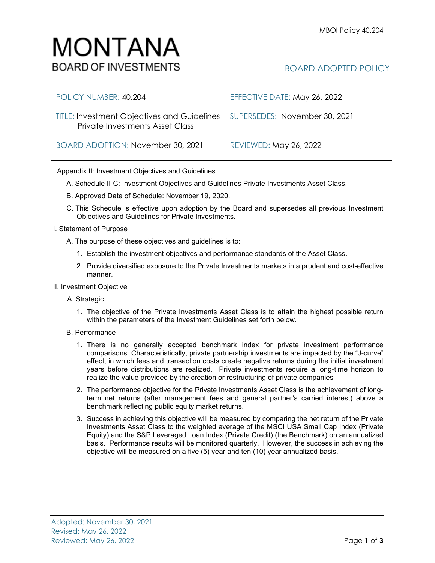# MONTANA **BOARD OF INVESTMENTS**

## BOARD ADOPTED POLICY

| POLICY NUMBER: 40.204                                                                                               | EFFECTIVE DATE: May 26, 2022  |
|---------------------------------------------------------------------------------------------------------------------|-------------------------------|
| TITLE: Investment Objectives and Guidelines SUPERSEDES: November 30, 2021<br><b>Private Investments Asset Class</b> |                               |
| BOARD ADOPTION: November 30, 2021                                                                                   | <b>REVIEWED: May 26, 2022</b> |

### I. Appendix II: Investment Objectives and Guidelines

A. Schedule II-C: Investment Objectives and Guidelines Private Investments Asset Class.

- B. Approved Date of Schedule: November 19, 2020.
- C. This Schedule is effective upon adoption by the Board and supersedes all previous Investment Objectives and Guidelines for Private Investments.
- II. Statement of Purpose
	- A. The purpose of these objectives and guidelines is to:
		- 1. Establish the investment objectives and performance standards of the Asset Class.
		- 2. Provide diversified exposure to the Private Investments markets in a prudent and cost-effective manner.
- III. Investment Objective

#### A. Strategic

- 1. The objective of the Private Investments Asset Class is to attain the highest possible return within the parameters of the Investment Guidelines set forth below.
- B. Performance
	- 1. There is no generally accepted benchmark index for private investment performance comparisons. Characteristically, private partnership investments are impacted by the "J-curve" effect, in which fees and transaction costs create negative returns during the initial investment years before distributions are realized. Private investments require a long-time horizon to realize the value provided by the creation or restructuring of private companies
	- 2. The performance objective for the Private Investments Asset Class is the achievement of longterm net returns (after management fees and general partner's carried interest) above a benchmark reflecting public equity market returns.
	- 3. Success in achieving this objective will be measured by comparing the net return of the Private Investments Asset Class to the weighted average of the MSCI USA Small Cap Index (Private Equity) and the S&P Leveraged Loan Index (Private Credit) (the Benchmark) on an annualized basis. Performance results will be monitored quarterly. However, the success in achieving the objective will be measured on a five (5) year and ten (10) year annualized basis.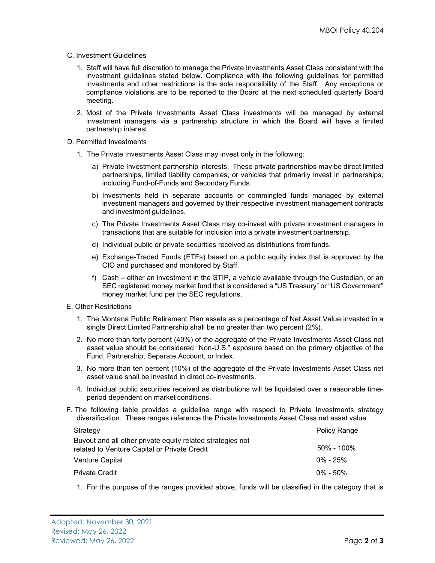#### C. Investment Guidelines

- 1. Staff will have full discretion to manage the Private Investments Asset Class consistent with the investment guidelines stated below. Compliance with the following guidelines for permitted investments and other restrictions is the sole responsibility of the Staff. Any exceptions or compliance violations are to be reported to the Board at the next scheduled quarterly Board meeting.
- 2. Most of the Private Investments Asset Class investments will be managed by external investment managers via a partnership structure in which the Board will have a limited partnership interest.

#### D. Permitted Investments

- 1. The Private Investments Asset Class may invest only in the following:
	- a) Private Investment partnership interests. These private partnerships may be direct limited partnerships, limited liability companies, or vehicles that primarily invest in partnerships, including Fund-of-Funds and Secondary Funds.
	- b) Investments held in separate accounts or commingled funds managed by external investment managers and governed by their respective investment management contracts and investment guidelines.
	- c) The Private Investments Asset Class may co-invest with private investment managers in transactions that are suitable for inclusion into a private investment partnership.
	- d) Individual public or private securities received as distributions fromfunds.
	- e) Exchange-Traded Funds (ETFs) based on a public equity index that is approved by the CIO and purchased and monitored by Staff.
	- f) Cash either an investment in the STIP, a vehicle available through the Custodian, or an SEC registered money market fund that is considered a "US Treasury" or "US Government" money market fund per the SEC regulations.
- E. Other Restrictions
	- 1. The Montana Public Retirement Plan assets as a percentage of Net Asset Value invested in a single Direct Limited Partnership shall be no greater than two percent (2%).
	- 2. No more than forty percent (40%) of the aggregate of the Private Investments Asset Class net asset value should be considered "Non-U.S." exposure based on the primary objective of the Fund, Partnership, Separate Account, or Index.
	- 3. No more than ten percent (10%) of the aggregate of the Private Investments Asset Class net asset value shall be invested in direct co-investments.
	- 4. Individual public securities received as distributions will be liquidated over a reasonable timeperiod dependent on market conditions.
- F. The following table provides a guideline range with respect to Private Investments strategy diversification. These ranges reference the Private Investments Asset Class net asset value.

| <b>Policy Range</b> |
|---------------------|
| 50% - 100%          |
| $0\%$ - 25%         |
| $0\% - 50\%$        |
|                     |

1. For the purpose of the ranges provided above, funds will be classified in the category that is